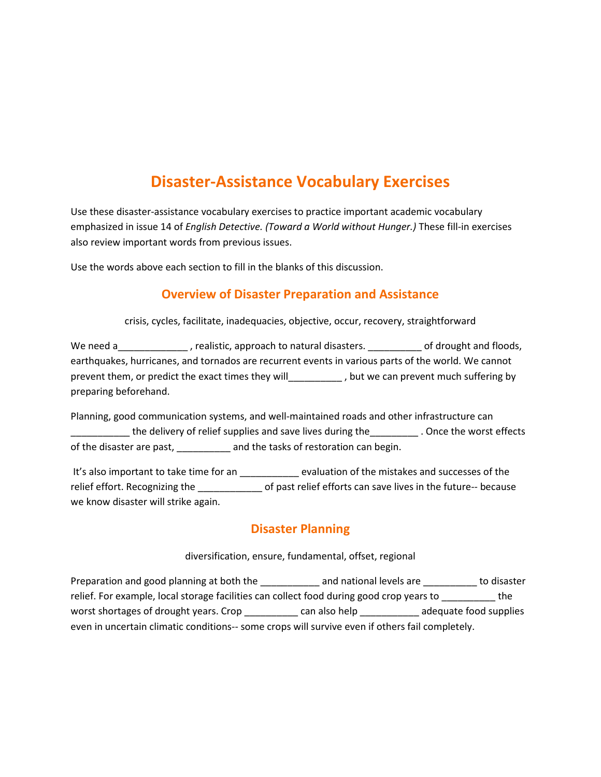# Disaster-Assistance Vocabulary Exercises

Use these disaster-assistance vocabulary exercises to practice important academic vocabulary emphasized in issue 14 of English Detective. (Toward a World without Hunger.) These fill-in exercises also review important words from previous issues.

Use the words above each section to fill in the blanks of this discussion.

### Overview of Disaster Preparation and Assistance

crisis, cycles, facilitate, inadequacies, objective, occur, recovery, straightforward

We need a Theorem 2 realistic, approach to natural disasters. Theorem of drought and floods, earthquakes, hurricanes, and tornados are recurrent events in various parts of the world. We cannot prevent them, or predict the exact times they will\_\_\_\_\_\_\_\_\_\_ , but we can prevent much suffering by preparing beforehand.

Planning, good communication systems, and well-maintained roads and other infrastructure can \_\_\_\_\_\_\_\_\_\_\_ the delivery of relief supplies and save lives during the\_\_\_\_\_\_\_\_\_ . Once the worst effects of the disaster are past, \_\_\_\_\_\_\_\_\_\_ and the tasks of restoration can begin.

It's also important to take time for an \_\_\_\_\_\_\_\_\_\_\_\_ evaluation of the mistakes and successes of the relief effort. Recognizing the degree of past relief efforts can save lives in the future-- because we know disaster will strike again.

## Disaster Planning

#### diversification, ensure, fundamental, offset, regional

Preparation and good planning at both the \_\_\_\_\_\_\_\_\_\_\_ and national levels are \_\_\_\_\_\_\_\_\_\_\_ to disaster relief. For example, local storage facilities can collect food during good crop years to \_\_\_\_\_\_\_\_\_\_ the worst shortages of drought years. Crop \_\_\_\_\_\_\_\_\_\_ can also help \_\_\_\_\_\_\_\_\_\_ adequate food supplies even in uncertain climatic conditions-- some crops will survive even if others fail completely.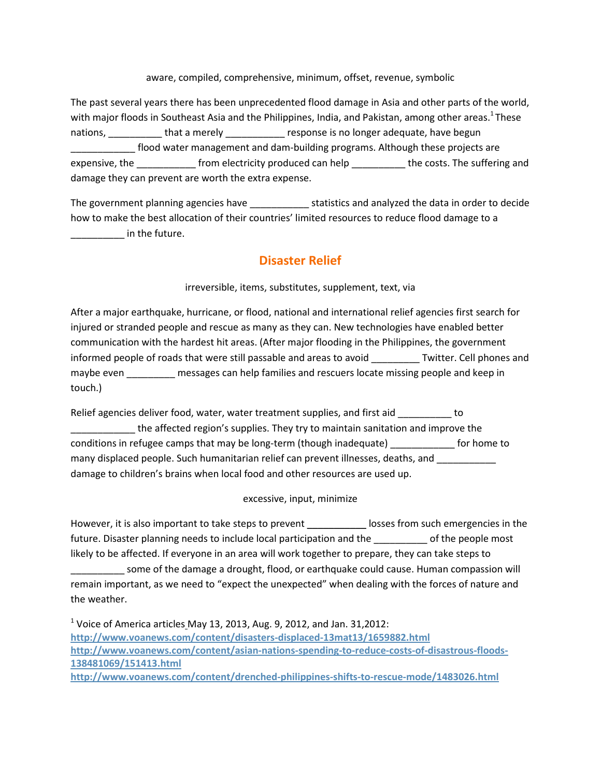aware, compiled, comprehensive, minimum, offset, revenue, symbolic

The past several years there has been unprecedented flood damage in Asia and other parts of the world, with major floods in Southeast Asia and the Philippines, India, and Pakistan, among other areas.<sup>1</sup> These nations, \_\_\_\_\_\_\_\_\_\_\_\_ that a merely \_\_\_\_\_\_\_\_\_\_\_\_ response is no longer adequate, have begun \_\_\_\_\_\_\_\_\_\_\_\_ flood water management and dam-building programs. Although these projects are expensive, the \_\_\_\_\_\_\_\_\_\_\_\_ from electricity produced can help \_\_\_\_\_\_\_\_\_\_\_ the costs. The suffering and damage they can prevent are worth the extra expense.

The government planning agencies have **the statistics and analyzed the data in order to decide** how to make the best allocation of their countries' limited resources to reduce flood damage to a  $\blacksquare$  in the future.

### Disaster Relief

irreversible, items, substitutes, supplement, text, via

After a major earthquake, hurricane, or flood, national and international relief agencies first search for injured or stranded people and rescue as many as they can. New technologies have enabled better communication with the hardest hit areas. (After major flooding in the Philippines, the government informed people of roads that were still passable and areas to avoid \_\_\_\_\_\_\_\_\_ Twitter. Cell phones and maybe even messages can help families and rescuers locate missing people and keep in touch.)

Relief agencies deliver food, water, water treatment supplies, and first aid \_\_\_\_\_\_\_\_\_ to the affected region's supplies. They try to maintain sanitation and improve the conditions in refugee camps that may be long-term (though inadequate) \_\_\_\_\_\_\_\_\_\_\_\_ for home to many displaced people. Such humanitarian relief can prevent illnesses, deaths, and \_\_\_\_\_\_\_\_\_\_ damage to children's brains when local food and other resources are used up.

excessive, input, minimize

However, it is also important to take steps to prevent \_\_\_\_\_\_\_\_\_\_\_\_\_ losses from such emergencies in the future. Disaster planning needs to include local participation and the \_\_\_\_\_\_\_\_\_ of the people most likely to be affected. If everyone in an area will work together to prepare, they can take steps to \_\_\_\_\_\_\_\_\_\_ some of the damage a drought, flood, or earthquake could cause. Human compassion will remain important, as we need to "expect the unexpected" when dealing with the forces of nature and the weather.

<sup>1</sup> Voice of America articles May 13, 2013, Aug. 9, 2012, and Jan. 31,2012: http://www.voanews.com/content/disasters-displaced-13mat13/1659882.html http://www.voanews.com/content/asian-nations-spending-to-reduce-costs-of-disastrous-floods-138481069/151413.html http://www.voanews.com/content/drenched-philippines-shifts-to-rescue-mode/1483026.html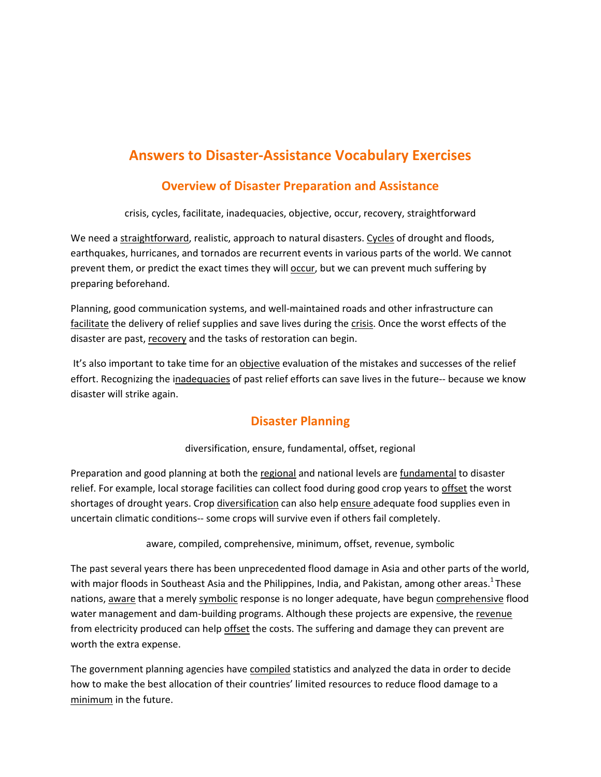# Answers to Disaster-Assistance Vocabulary Exercises

## Overview of Disaster Preparation and Assistance

crisis, cycles, facilitate, inadequacies, objective, occur, recovery, straightforward

We need a straightforward, realistic, approach to natural disasters. Cycles of drought and floods, earthquakes, hurricanes, and tornados are recurrent events in various parts of the world. We cannot prevent them, or predict the exact times they will occur, but we can prevent much suffering by preparing beforehand.

Planning, good communication systems, and well-maintained roads and other infrastructure can facilitate the delivery of relief supplies and save lives during the crisis. Once the worst effects of the disaster are past, recovery and the tasks of restoration can begin.

It's also important to take time for an objective evaluation of the mistakes and successes of the relief effort. Recognizing the inadequacies of past relief efforts can save lives in the future-- because we know disaster will strike again.

## Disaster Planning

#### diversification, ensure, fundamental, offset, regional

Preparation and good planning at both the regional and national levels are fundamental to disaster relief. For example, local storage facilities can collect food during good crop years to offset the worst shortages of drought years. Crop diversification can also help ensure adequate food supplies even in uncertain climatic conditions-- some crops will survive even if others fail completely.

aware, compiled, comprehensive, minimum, offset, revenue, symbolic

The past several years there has been unprecedented flood damage in Asia and other parts of the world, with major floods in Southeast Asia and the Philippines, India, and Pakistan, among other areas.<sup>1</sup> These nations, aware that a merely symbolic response is no longer adequate, have begun comprehensive flood water management and dam-building programs. Although these projects are expensive, the revenue from electricity produced can help offset the costs. The suffering and damage they can prevent are worth the extra expense.

The government planning agencies have compiled statistics and analyzed the data in order to decide how to make the best allocation of their countries' limited resources to reduce flood damage to a minimum in the future.